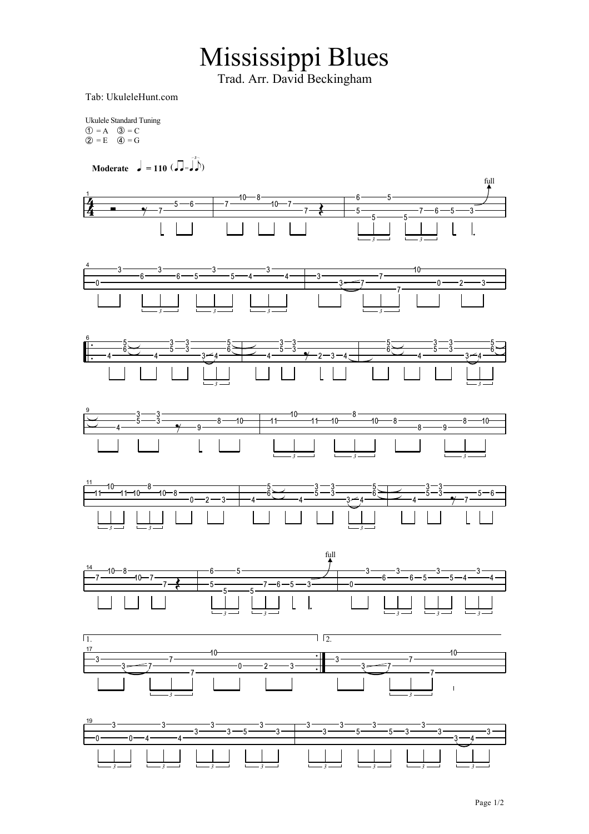Mississippi Blues

Trad. Arr. David Beckingham

Tab: UkuleleHunt.com

Ukulele Standard Tuning  $\begin{array}{ll} \textcircled{1} = \textsf{A} & \textcircled{3} = \textsf{C} \\ \textcircled{2} = \textsf{E} & \textcircled{4} = \textsf{G} \end{array}$